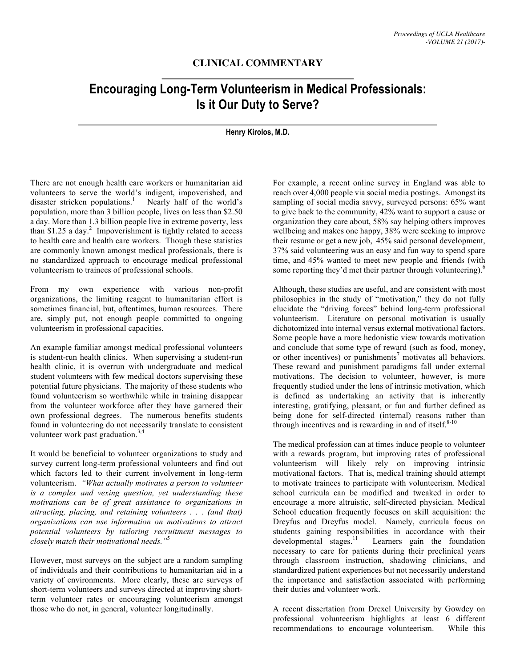## **CLINICAL COMMENTARY**

## **Encouraging Long-Term Volunteerism in Medical Professionals: Is it Our Duty to Serve?**

## **Henry Kirolos, M.D.**

There are not enough health care workers or humanitarian aid volunteers to serve the world's indigent, impoverished, and disaster stricken populations.<sup>1</sup> Nearly half of the world's population, more than 3 billion people, lives on less than \$2.50 a day. More than 1.3 billion people live in extreme poverty, less than \$1.25 a day. 2 Impoverishment is tightly related to access to health care and health care workers. Though these statistics are commonly known amongst medical professionals, there is no standardized approach to encourage medical professional volunteerism to trainees of professional schools.

From my own experience with various non-profit organizations, the limiting reagent to humanitarian effort is sometimes financial, but, oftentimes, human resources. There are, simply put, not enough people committed to ongoing volunteerism in professional capacities.

An example familiar amongst medical professional volunteers is student-run health clinics. When supervising a student-run health clinic, it is overrun with undergraduate and medical student volunteers with few medical doctors supervising these potential future physicians. The majority of these students who found volunteerism so worthwhile while in training disappear from the volunteer workforce after they have garnered their own professional degrees. The numerous benefits students found in volunteering do not necessarily translate to consistent volunteer work past graduation. 3,4

It would be beneficial to volunteer organizations to study and survey current long-term professional volunteers and find out which factors led to their current involvement in long-term volunteerism. *"What actually motivates a person to volunteer is a complex and vexing question, yet understanding these motivations can be of great assistance to organizations in attracting, placing, and retaining volunteers . . . (and that) organizations can use information on motivations to attract potential volunteers by tailoring recruitment messages to closely match their motivational needs."*<sup>5</sup>

However, most surveys on the subject are a random sampling of individuals and their contributions to humanitarian aid in a variety of environments. More clearly, these are surveys of short-term volunteers and surveys directed at improving shortterm volunteer rates or encouraging volunteerism amongst those who do not, in general, volunteer longitudinally.

For example, a recent online survey in England was able to reach over 4,000 people via social media postings. Amongst its sampling of social media savvy, surveyed persons: 65% want to give back to the community, 42% want to support a cause or organization they care about, 58% say helping others improves wellbeing and makes one happy, 38% were seeking to improve their resume or get a new job, 45% said personal development, 37% said volunteering was an easy and fun way to spend spare time, and 45% wanted to meet new people and friends (with some reporting they'd met their partner through volunteering).<sup>6</sup>

Although, these studies are useful, and are consistent with most philosophies in the study of "motivation," they do not fully elucidate the "driving forces" behind long-term professional volunteerism. Literature on personal motivation is usually dichotomized into internal versus external motivational factors. Some people have a more hedonistic view towards motivation and conclude that some type of reward (such as food, money, or other incentives) or punishments<sup>7</sup> motivates all behaviors. These reward and punishment paradigms fall under external motivations. The decision to volunteer, however, is more frequently studied under the lens of intrinsic motivation, which is defined as undertaking an activity that is inherently interesting, gratifying, pleasant, or fun and further defined as being done for self-directed (internal) reasons rather than through incentives and is rewarding in and of itself. $8-10$ 

The medical profession can at times induce people to volunteer with a rewards program, but improving rates of professional volunteerism will likely rely on improving intrinsic motivational factors. That is, medical training should attempt to motivate trainees to participate with volunteerism. Medical school curricula can be modified and tweaked in order to encourage a more altruistic, self-directed physician. Medical School education frequently focuses on skill acquisition: the Dreyfus and Dreyfus model. Namely, curricula focus on students gaining responsibilities in accordance with their developmental stages. $^{11}$ Learners gain the foundation necessary to care for patients during their preclinical years through classroom instruction, shadowing clinicians, and standardized patient experiences but not necessarily understand the importance and satisfaction associated with performing their duties and volunteer work.

A recent dissertation from Drexel University by Gowdey on professional volunteerism highlights at least 6 different recommendations to encourage volunteerism. While this